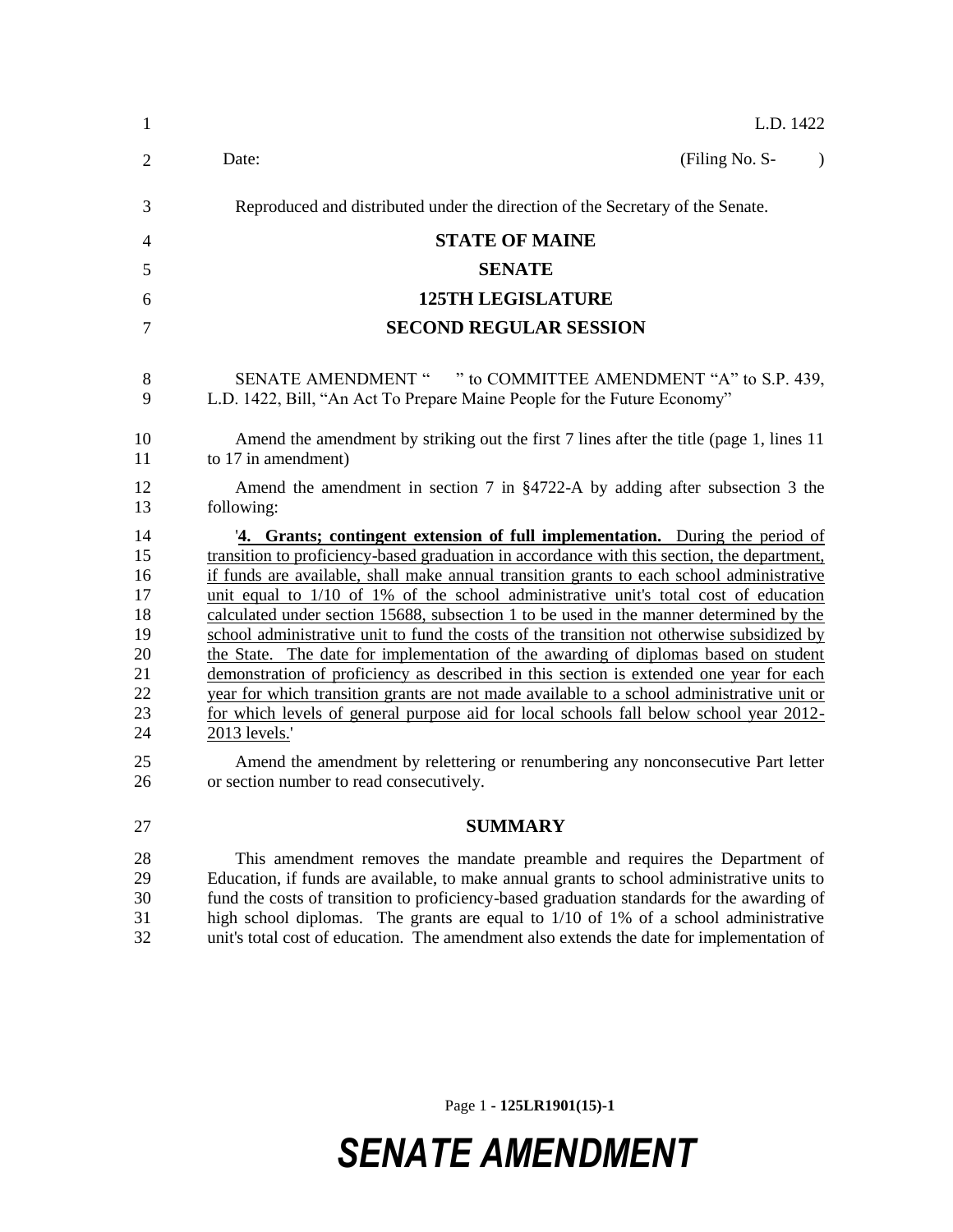| $\mathbf{1}$                                                               | L.D. 1422                                                                                                                                                                                                                                                                                                                                                                                                                                                                                                                                                                                                                                                                                                                                                                                                                                                                                                                                                                                                                                                                                  |
|----------------------------------------------------------------------------|--------------------------------------------------------------------------------------------------------------------------------------------------------------------------------------------------------------------------------------------------------------------------------------------------------------------------------------------------------------------------------------------------------------------------------------------------------------------------------------------------------------------------------------------------------------------------------------------------------------------------------------------------------------------------------------------------------------------------------------------------------------------------------------------------------------------------------------------------------------------------------------------------------------------------------------------------------------------------------------------------------------------------------------------------------------------------------------------|
| $\overline{2}$                                                             | Date:<br>(Filing No. S-<br>$\lambda$                                                                                                                                                                                                                                                                                                                                                                                                                                                                                                                                                                                                                                                                                                                                                                                                                                                                                                                                                                                                                                                       |
| 3                                                                          | Reproduced and distributed under the direction of the Secretary of the Senate.                                                                                                                                                                                                                                                                                                                                                                                                                                                                                                                                                                                                                                                                                                                                                                                                                                                                                                                                                                                                             |
| $\overline{4}$                                                             | <b>STATE OF MAINE</b>                                                                                                                                                                                                                                                                                                                                                                                                                                                                                                                                                                                                                                                                                                                                                                                                                                                                                                                                                                                                                                                                      |
| 5                                                                          | <b>SENATE</b>                                                                                                                                                                                                                                                                                                                                                                                                                                                                                                                                                                                                                                                                                                                                                                                                                                                                                                                                                                                                                                                                              |
| 6                                                                          | <b>125TH LEGISLATURE</b>                                                                                                                                                                                                                                                                                                                                                                                                                                                                                                                                                                                                                                                                                                                                                                                                                                                                                                                                                                                                                                                                   |
| 7                                                                          | <b>SECOND REGULAR SESSION</b>                                                                                                                                                                                                                                                                                                                                                                                                                                                                                                                                                                                                                                                                                                                                                                                                                                                                                                                                                                                                                                                              |
| 8<br>9                                                                     | SENATE AMENDMENT " " to COMMITTEE AMENDMENT "A" to S.P. 439,<br>L.D. 1422, Bill, "An Act To Prepare Maine People for the Future Economy"                                                                                                                                                                                                                                                                                                                                                                                                                                                                                                                                                                                                                                                                                                                                                                                                                                                                                                                                                   |
| 10<br>11                                                                   | Amend the amendment by striking out the first 7 lines after the title (page 1, lines 11<br>to 17 in amendment)                                                                                                                                                                                                                                                                                                                                                                                                                                                                                                                                                                                                                                                                                                                                                                                                                                                                                                                                                                             |
| 12<br>13                                                                   | Amend the amendment in section 7 in $\S 4722-A$ by adding after subsection 3 the<br>following:                                                                                                                                                                                                                                                                                                                                                                                                                                                                                                                                                                                                                                                                                                                                                                                                                                                                                                                                                                                             |
| 14<br>15<br>16<br>17<br>18<br>19<br>20<br>21<br>22<br>23<br>24<br>25<br>26 | '4. Grants; contingent extension of full implementation. During the period of<br>transition to proficiency-based graduation in accordance with this section, the department,<br>if funds are available, shall make annual transition grants to each school administrative<br>unit equal to $1/10$ of $1\%$ of the school administrative unit's total cost of education<br>calculated under section 15688, subsection 1 to be used in the manner determined by the<br>school administrative unit to fund the costs of the transition not otherwise subsidized by<br>the State. The date for implementation of the awarding of diplomas based on student<br>demonstration of proficiency as described in this section is extended one year for each<br>year for which transition grants are not made available to a school administrative unit or<br>for which levels of general purpose aid for local schools fall below school year 2012-<br>2013 levels.'<br>Amend the amendment by relettering or renumbering any nonconsecutive Part letter<br>or section number to read consecutively. |
| 27                                                                         | <b>SUMMARY</b>                                                                                                                                                                                                                                                                                                                                                                                                                                                                                                                                                                                                                                                                                                                                                                                                                                                                                                                                                                                                                                                                             |
| 28<br>29<br>30<br>31<br>32                                                 | This amendment removes the mandate preamble and requires the Department of<br>Education, if funds are available, to make annual grants to school administrative units to<br>fund the costs of transition to proficiency-based graduation standards for the awarding of<br>high school diplomas. The grants are equal to 1/10 of 1% of a school administrative<br>unit's total cost of education. The amendment also extends the date for implementation of                                                                                                                                                                                                                                                                                                                                                                                                                                                                                                                                                                                                                                 |

Page 1 **- 125LR1901(15)-1**

## *SENATE AMENDMENT*